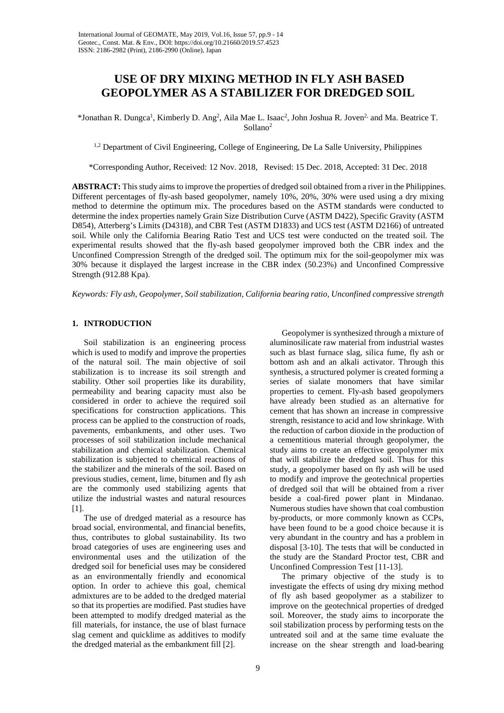# **USE OF DRY MIXING METHOD IN FLY ASH BASED GEOPOLYMER AS A STABILIZER FOR DREDGED SOIL**

\*Jonathan R. Dungca<sup>1</sup>, Kimberly D. Ang<sup>2</sup>, Aila Mae L. Isaac<sup>2</sup>, John Joshua R. Joven<sup>2,</sup> and Ma. Beatrice T. Sollano2

<sup>1,2</sup> Department of Civil Engineering, College of Engineering, De La Salle University, Philippines

\*Corresponding Author, Received: 12 Nov. 2018, Revised: 15 Dec. 2018, Accepted: 31 Dec. 2018

**ABSTRACT:** This study aims to improve the properties of dredged soil obtained from a river in the Philippines. Different percentages of fly-ash based geopolymer, namely 10%, 20%, 30% were used using a dry mixing method to determine the optimum mix. The procedures based on the ASTM standards were conducted to determine the index properties namely Grain Size Distribution Curve (ASTM D422), Specific Gravity (ASTM D854), Atterberg's Limits (D4318), and CBR Test (ASTM D1833) and UCS test (ASTM D2166) of untreated soil. While only the California Bearing Ratio Test and UCS test were conducted on the treated soil. The experimental results showed that the fly-ash based geopolymer improved both the CBR index and the Unconfined Compression Strength of the dredged soil. The optimum mix for the soil-geopolymer mix was 30% because it displayed the largest increase in the CBR index (50.23%) and Unconfined Compressive Strength (912.88 Kpa).

*Keywords: Fly ash, Geopolymer, Soil stabilization, California bearing ratio, Unconfined compressive strength*

## **1. INTRODUCTION**

Soil stabilization is an engineering process which is used to modify and improve the properties of the natural soil. The main objective of soil stabilization is to increase its soil strength and stability. Other soil properties like its durability, permeability and bearing capacity must also be considered in order to achieve the required soil specifications for construction applications. This process can be applied to the construction of roads, pavements, embankments, and other uses. Two processes of soil stabilization include mechanical stabilization and chemical stabilization. Chemical stabilization is subjected to chemical reactions of the stabilizer and the minerals of the soil. Based on previous studies, cement, lime, bitumen and fly ash are the commonly used stabilizing agents that utilize the industrial wastes and natural resources [1].

The use of dredged material as a resource has broad social, environmental, and financial benefits, thus, contributes to global sustainability. Its two broad categories of uses are engineering uses and environmental uses and the utilization of the dredged soil for beneficial uses may be considered as an environmentally friendly and economical option. In order to achieve this goal, chemical admixtures are to be added to the dredged material so that its properties are modified. Past studies have been attempted to modify dredged material as the fill materials, for instance, the use of blast furnace slag cement and quicklime as additives to modify the dredged material as the embankment fill [2].

Geopolymer is synthesized through a mixture of aluminosilicate raw material from industrial wastes such as blast furnace slag, silica fume, fly ash or bottom ash and an alkali activator. Through this synthesis, a structured polymer is created forming a series of sialate monomers that have similar properties to cement. Fly-ash based geopolymers have already been studied as an alternative for cement that has shown an increase in compressive strength, resistance to acid and low shrinkage. With the reduction of carbon dioxide in the production of a cementitious material through geopolymer, the study aims to create an effective geopolymer mix that will stabilize the dredged soil. Thus for this study, a geopolymer based on fly ash will be used to modify and improve the geotechnical properties of dredged soil that will be obtained from a river beside a coal-fired power plant in Mindanao. Numerous studies have shown that coal combustion by-products, or more commonly known as CCPs, have been found to be a good choice because it is very abundant in the country and has a problem in disposal [3-10]. The tests that will be conducted in the study are the Standard Proctor test, CBR and Unconfined Compression Test [11-13].

The primary objective of the study is to investigate the effects of using dry mixing method of fly ash based geopolymer as a stabilizer to improve on the geotechnical properties of dredged soil. Moreover, the study aims to incorporate the soil stabilization process by performing tests on the untreated soil and at the same time evaluate the increase on the shear strength and load-bearing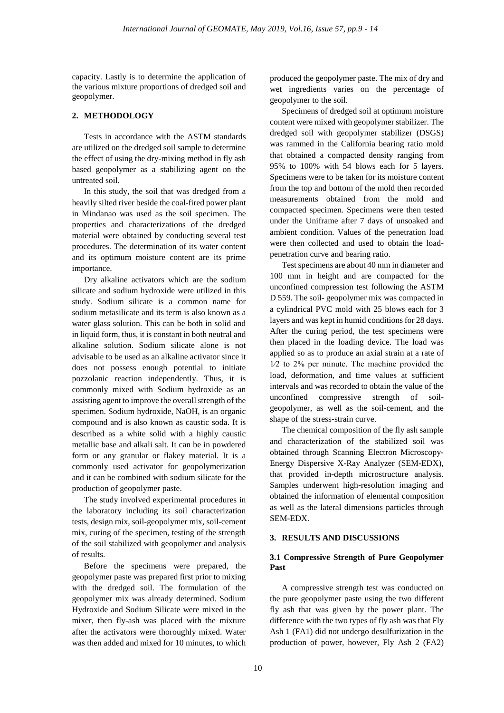capacity. Lastly is to determine the application of the various mixture proportions of dredged soil and geopolymer.

# **2. METHODOLOGY**

Tests in accordance with the ASTM standards are utilized on the dredged soil sample to determine the effect of using the dry-mixing method in fly ash based geopolymer as a stabilizing agent on the untreated soil.

In this study, the soil that was dredged from a heavily silted river beside the coal-fired power plant in Mindanao was used as the soil specimen. The properties and characterizations of the dredged material were obtained by conducting several test procedures. The determination of its water content and its optimum moisture content are its prime importance.

Dry alkaline activators which are the sodium silicate and sodium hydroxide were utilized in this study. Sodium silicate is a common name for sodium metasilicate and its term is also known as a water glass solution. This can be both in solid and in liquid form, thus, it is constant in both neutral and alkaline solution. Sodium silicate alone is not advisable to be used as an alkaline activator since it does not possess enough potential to initiate pozzolanic reaction independently. Thus, it is commonly mixed with Sodium hydroxide as an assisting agent to improve the overall strength of the specimen. Sodium hydroxide, NaOH, is an organic compound and is also known as caustic soda. It is described as a white solid with a highly caustic metallic base and alkali salt. It can be in powdered form or any granular or flakey material. It is a commonly used activator for geopolymerization and it can be combined with sodium silicate for the production of geopolymer paste.

The study involved experimental procedures in the laboratory including its soil characterization tests, design mix, soil-geopolymer mix, soil-cement mix, curing of the specimen, testing of the strength of the soil stabilized with geopolymer and analysis of results.

Before the specimens were prepared, the geopolymer paste was prepared first prior to mixing with the dredged soil. The formulation of the geopolymer mix was already determined. Sodium Hydroxide and Sodium Silicate were mixed in the mixer, then fly-ash was placed with the mixture after the activators were thoroughly mixed. Water was then added and mixed for 10 minutes, to which produced the geopolymer paste. The mix of dry and wet ingredients varies on the percentage of geopolymer to the soil.

Specimens of dredged soil at optimum moisture content were mixed with geopolymer stabilizer. The dredged soil with geopolymer stabilizer (DSGS) was rammed in the California bearing ratio mold that obtained a compacted density ranging from 95% to 100% with 54 blows each for 5 layers. Specimens were to be taken for its moisture content from the top and bottom of the mold then recorded measurements obtained from the mold and compacted specimen. Specimens were then tested under the Uniframe after 7 days of unsoaked and ambient condition. Values of the penetration load were then collected and used to obtain the loadpenetration curve and bearing ratio.

Test specimens are about 40 mm in diameter and 100 mm in height and are compacted for the unconfined compression test following the ASTM D 559. The soil- geopolymer mix was compacted in a cylindrical PVC mold with 25 blows each for 3 layers and was kept in humid conditions for 28 days. After the curing period, the test specimens were then placed in the loading device. The load was applied so as to produce an axial strain at a rate of 1⁄2 to 2% per minute. The machine provided the load, deformation, and time values at sufficient intervals and was recorded to obtain the value of the unconfined compressive strength of soilgeopolymer, as well as the soil-cement, and the shape of the stress-strain curve.

The chemical composition of the fly ash sample and characterization of the stabilized soil was obtained through Scanning Electron Microscopy-Energy Dispersive X-Ray Analyzer (SEM-EDX), that provided in-depth microstructure analysis. Samples underwent high-resolution imaging and obtained the information of elemental composition as well as the lateral dimensions particles through SEM-EDX.

## **3. RESULTS AND DISCUSSIONS**

## **3.1 Compressive Strength of Pure Geopolymer Past**

A compressive strength test was conducted on the pure geopolymer paste using the two different fly ash that was given by the power plant. The difference with the two types of fly ash was that Fly Ash 1 (FA1) did not undergo desulfurization in the production of power, however, Fly Ash 2 (FA2)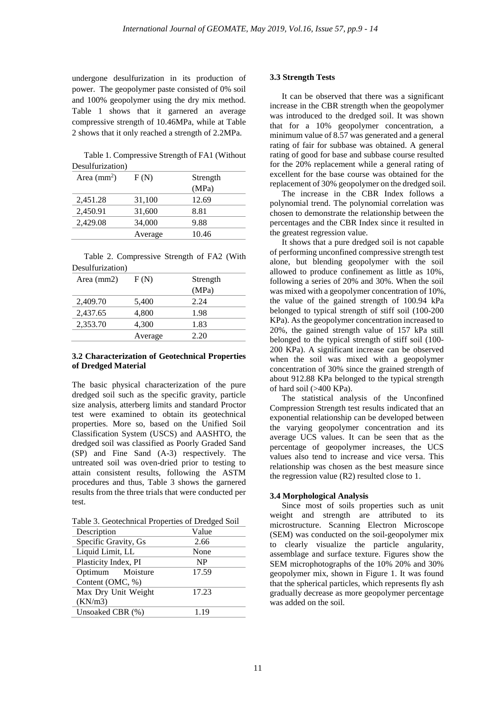undergone desulfurization in its production of power. The geopolymer paste consisted of 0% soil and 100% geopolymer using the dry mix method. Table 1 shows that it garnered an average compressive strength of 10.46MPa, while at Table 2 shows that it only reached a strength of 2.2MPa.

Table 1. Compressive Strength of FA1 (Without Desulfurization)

| Area $\text{(mm)}^2$ ) | F(N)    | Strength |
|------------------------|---------|----------|
|                        |         | (MPa)    |
| 2,451.28               | 31,100  | 12.69    |
| 2,450.91               | 31,600  | 8.81     |
| 2,429.08               | 34,000  | 9.88     |
|                        | Average | 10.46    |

Table 2. Compressive Strength of FA2 (With Desulfurization)

| Area (mm2) | F(N)    | Strength |
|------------|---------|----------|
|            |         | (MPa)    |
| 2,409.70   | 5,400   | 2.24     |
| 2,437.65   | 4,800   | 1.98     |
| 2,353.70   | 4,300   | 1.83     |
|            | Average | 2.20     |
|            |         |          |

## **3.2 Characterization of Geotechnical Properties of Dredged Material**

The basic physical characterization of the pure dredged soil such as the specific gravity, particle size analysis, atterberg limits and standard Proctor test were examined to obtain its geotechnical properties. More so, based on the Unified Soil Classification System (USCS) and AASHTO, the dredged soil was classified as Poorly Graded Sand (SP) and Fine Sand (A-3) respectively. The untreated soil was oven-dried prior to testing to attain consistent results, following the ASTM procedures and thus, Table 3 shows the garnered results from the three trials that were conducted per test.

Table 3. Geotechnical Properties of Dredged Soil

| Description          | Value     |
|----------------------|-----------|
| Specific Gravity, Gs | 2.66      |
| Liquid Limit, LL     | None      |
| Plasticity Index, PI | <b>NP</b> |
| Optimum Moisture     | 17.59     |
| Content (OMC, %)     |           |
| Max Dry Unit Weight  | 17.23     |
| (KN/m3)              |           |
| Unsoaked CBR (%)     | 1.19      |

#### **3.3 Strength Tests**

It can be observed that there was a significant increase in the CBR strength when the geopolymer was introduced to the dredged soil. It was shown that for a 10% geopolymer concentration, a minimum value of 8.57 was generated and a general rating of fair for subbase was obtained. A general rating of good for base and subbase course resulted for the 20% replacement while a general rating of excellent for the base course was obtained for the replacement of 30% geopolymer on the dredged soil.

The increase in the CBR Index follows a polynomial trend. The polynomial correlation was chosen to demonstrate the relationship between the percentages and the CBR Index since it resulted in the greatest regression value.

It shows that a pure dredged soil is not capable of performing unconfined compressive strength test alone, but blending geopolymer with the soil allowed to produce confinement as little as 10%, following a series of 20% and 30%. When the soil was mixed with a geopolymer concentration of 10%, the value of the gained strength of 100.94 kPa belonged to typical strength of stiff soil (100-200 KPa). As the geopolymer concentration increased to 20%, the gained strength value of 157 kPa still belonged to the typical strength of stiff soil (100- 200 KPa). A significant increase can be observed when the soil was mixed with a geopolymer concentration of 30% since the grained strength of about 912.88 KPa belonged to the typical strength of hard soil (>400 KPa).

The statistical analysis of the Unconfined Compression Strength test results indicated that an exponential relationship can be developed between the varying geopolymer concentration and its average UCS values. It can be seen that as the percentage of geopolymer increases, the UCS values also tend to increase and vice versa. This relationship was chosen as the best measure since the regression value (R2) resulted close to 1.

## **3.4 Morphological Analysis**

Since most of soils properties such as unit weight and strength are attributed to its microstructure. Scanning Electron Microscope (SEM) was conducted on the soil-geopolymer mix to clearly visualize the particle angularity, assemblage and surface texture. Figures show the SEM microphotographs of the 10% 20% and 30% geopolymer mix, shown in Figure 1. It was found that the spherical particles, which represents fly ash gradually decrease as more geopolymer percentage was added on the soil.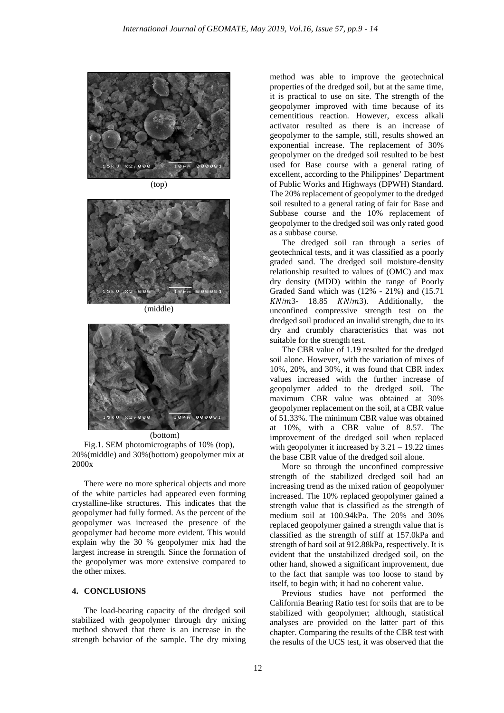



(middle)



(bottom)

Fig.1. SEM photomicrographs of 10% (top), 20%(middle) and 30%(bottom) geopolymer mix at 2000x

There were no more spherical objects and more of the white particles had appeared even forming crystalline-like structures. This indicates that the geopolymer had fully formed. As the percent of the geopolymer was increased the presence of the geopolymer had become more evident. This would explain why the 30 % geopolymer mix had the largest increase in strength. Since the formation of the geopolymer was more extensive compared to the other mixes.

#### **4. CONCLUSIONS**

The load-bearing capacity of the dredged soil stabilized with geopolymer through dry mixing method showed that there is an increase in the strength behavior of the sample. The dry mixing

method was able to improve the geotechnical properties of the dredged soil, but at the same time, it is practical to use on site. The strength of the geopolymer improved with time because of its cementitious reaction. However, excess alkali activator resulted as there is an increase of geopolymer to the sample, still, results showed an exponential increase. The replacement of 30% geopolymer on the dredged soil resulted to be best used for Base course with a general rating of excellent, according to the Philippines' Department of Public Works and Highways (DPWH) Standard. The 20% replacement of geopolymer to the dredged soil resulted to a general rating of fair for Base and Subbase course and the 10% replacement of geopolymer to the dredged soil was only rated good as a subbase course.

The dredged soil ran through a series of geotechnical tests, and it was classified as a poorly graded sand. The dredged soil moisture-density relationship resulted to values of (OMC) and max dry density (MDD) within the range of Poorly Graded Sand which was (12% - 21%) and (15.71  $KN/m3$ - 18.85  $KN/m3$ ). Additionally, the unconfined compressive strength test on the dredged soil produced an invalid strength, due to its dry and crumbly characteristics that was not suitable for the strength test.

The CBR value of 1.19 resulted for the dredged soil alone. However, with the variation of mixes of 10%, 20%, and 30%, it was found that CBR index values increased with the further increase of geopolymer added to the dredged soil. The maximum CBR value was obtained at 30% geopolymer replacement on the soil, at a CBR value of 51.33%. The minimum CBR value was obtained at 10%, with a CBR value of 8.57. The improvement of the dredged soil when replaced with geopolymer it increased by  $3.21 - 19.22$  times the base CBR value of the dredged soil alone.

More so through the unconfined compressive strength of the stabilized dredged soil had an increasing trend as the mixed ration of geopolymer increased. The 10% replaced geopolymer gained a strength value that is classified as the strength of medium soil at 100.94kPa. The 20% and 30% replaced geopolymer gained a strength value that is classified as the strength of stiff at 157.0kPa and strength of hard soil at 912.88kPa, respectively. It is evident that the unstabilized dredged soil, on the other hand, showed a significant improvement, due to the fact that sample was too loose to stand by itself, to begin with; it had no coherent value.

Previous studies have not performed the California Bearing Ratio test for soils that are to be stabilized with geopolymer; although, statistical analyses are provided on the latter part of this chapter. Comparing the results of the CBR test with the results of the UCS test, it was observed that the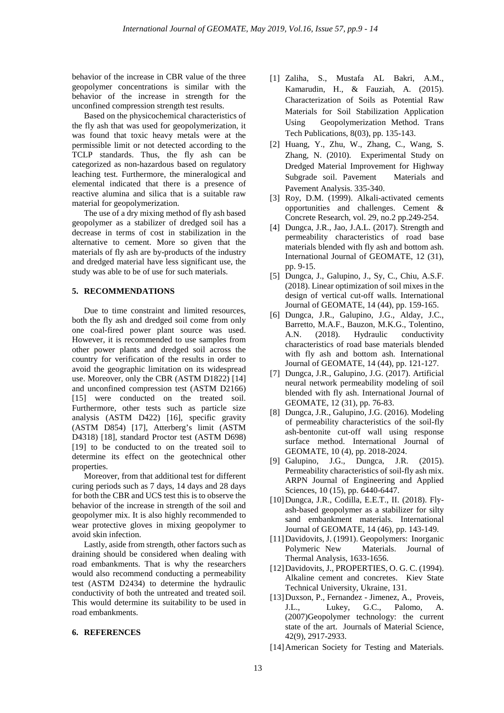behavior of the increase in CBR value of the three geopolymer concentrations is similar with the behavior of the increase in strength for the unconfined compression strength test results.

Based on the physicochemical characteristics of the fly ash that was used for geopolymerization, it was found that toxic heavy metals were at the permissible limit or not detected according to the TCLP standards. Thus, the fly ash can be categorized as non-hazardous based on regulatory leaching test. Furthermore, the mineralogical and elemental indicated that there is a presence of reactive alumina and silica that is a suitable raw material for geopolymerization.

The use of a dry mixing method of fly ash based geopolymer as a stabilizer of dredged soil has a decrease in terms of cost in stabilization in the alternative to cement. More so given that the materials of fly ash are by-products of the industry and dredged material have less significant use, the study was able to be of use for such materials.

## **5. RECOMMENDATIONS**

Due to time constraint and limited resources, both the fly ash and dredged soil come from only one coal-fired power plant source was used. However, it is recommended to use samples from other power plants and dredged soil across the country for verification of the results in order to avoid the geographic limitation on its widespread use. Moreover, only the CBR (ASTM D1822) [14] and unconfined compression test (ASTM D2166) [15] were conducted on the treated soil. Furthermore, other tests such as particle size analysis (ASTM D422) [16], specific gravity (ASTM D854) [17], Atterberg's limit (ASTM D4318) [18], standard Proctor test (ASTM D698) [19] to be conducted to on the treated soil to determine its effect on the geotechnical other properties.

Moreover, from that additional test for different curing periods such as 7 days, 14 days and 28 days for both the CBR and UCS test this is to observe the behavior of the increase in strength of the soil and geopolymer mix. It is also highly recommended to wear protective gloves in mixing geopolymer to avoid skin infection.

Lastly, aside from strength, other factors such as draining should be considered when dealing with road embankments. That is why the researchers would also recommend conducting a permeability test (ASTM D2434) to determine the hydraulic conductivity of both the untreated and treated soil. This would determine its suitability to be used in road embankments.

#### **6. REFERENCES**

- [1] Zaliha, S., Mustafa AL Bakri, A.M., Kamarudin, H., & Fauziah, A. (2015). Characterization of Soils as Potential Raw Materials for Soil Stabilization Application Using Geopolymerization Method. Trans Tech Publications, 8(03), pp. 135-143.
- [2] Huang, Y., Zhu, W., Zhang, C., Wang, S. Zhang, N. (2010). Experimental Study on Dredged Material Improvement for Highway Subgrade soil. Pavement Materials and Pavement Analysis. 335-340.
- [3] Roy, D.M. (1999). Alkali-activated cements opportunities and challenges. Cement & Concrete Research, vol. 29, no.2 pp.249-254.
- [4] Dungca, J.R., Jao, J.A.L. (2017). Strength and permeability characteristics of road base materials blended with fly ash and bottom ash. International Journal of GEOMATE, 12 (31), pp. 9-15.
- [5] Dungca, J., Galupino, J., Sy, C., Chiu, A.S.F. (2018). Linear optimization of soil mixes in the design of vertical cut-off walls. International Journal of GEOMATE, 14 (44), pp. 159-165.
- [6] Dungca, J.R., Galupino, J.G., Alday, J.C., Barretto, M.A.F., Bauzon, M.K.G., Tolentino, A.N. (2018). Hydraulic conductivity characteristics of road base materials blended with fly ash and bottom ash. International Journal of GEOMATE, 14 (44), pp. 121-127.
- [7] Dungca, J.R., Galupino, J.G. (2017). Artificial neural network permeability modeling of soil blended with fly ash. International Journal of GEOMATE, 12 (31), pp. 76-83.
- [8] Dungca, J.R., Galupino, J.G. (2016). Modeling of permeability characteristics of the soil-fly ash-bentonite cut-off wall using response surface method. International Journal of GEOMATE, 10 (4), pp. 2018-2024.
- [9] Galupino, J.G., Dungca, J.R. (2015). Permeability characteristics of soil-fly ash mix. ARPN Journal of Engineering and Applied Sciences, 10 (15), pp. 6440-6447.
- [10]Dungca, J.R., Codilla, E.E.T., II. (2018). Flyash-based geopolymer as a stabilizer for silty sand embankment materials. International Journal of GEOMATE, 14 (46), pp. 143-149.
- [11]Davidovits, J. (1991). Geopolymers: Inorganic Polymeric New Materials. Journal of Thermal Analysis, 1633-1656.
- [12]Davidovits, J., PROPERTIES, O. G. C. (1994). Alkaline cement and concretes. Kiev State Technical University, Ukraine, 131.
- [13] Duxson, P., Fernandez Jimenez, A., Proveis, J.L., Lukey, G.C., Palomo, A. (2007)Geopolymer technology: the current state of the art. Journals of Material Science, 42(9), 2917-2933.
- [14]American Society for Testing and Materials.